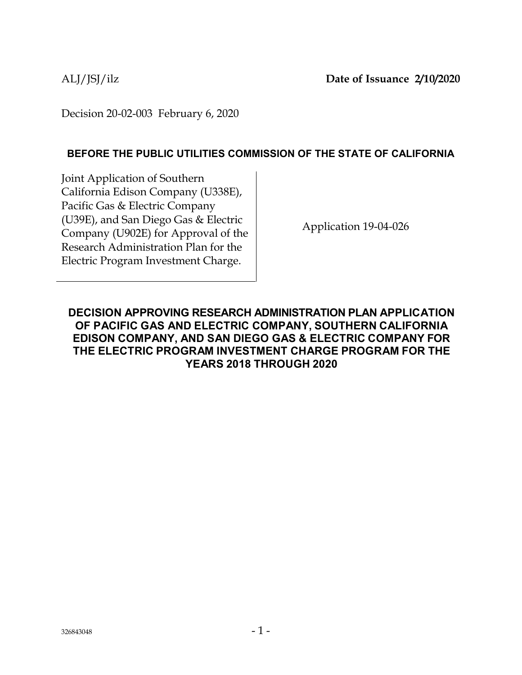Decision 20-02-003 February 6, 2020

### **BEFORE THE PUBLIC UTILITIES COMMISSION OF THE STATE OF CALIFORNIA**

Joint Application of Southern California Edison Company (U338E), Pacific Gas & Electric Company (U39E), and San Diego Gas & Electric Company (U902E) for Approval of the Research Administration Plan for the Electric Program Investment Charge.

Application 19-04-026

**DECISION APPROVING RESEARCH ADMINISTRATION PLAN APPLICATION OF PACIFIC GAS AND ELECTRIC COMPANY, SOUTHERN CALIFORNIA EDISON COMPANY, AND SAN DIEGO GAS & ELECTRIC COMPANY FOR THE ELECTRIC PROGRAM INVESTMENT CHARGE PROGRAM FOR THE YEARS 2018 THROUGH 2020**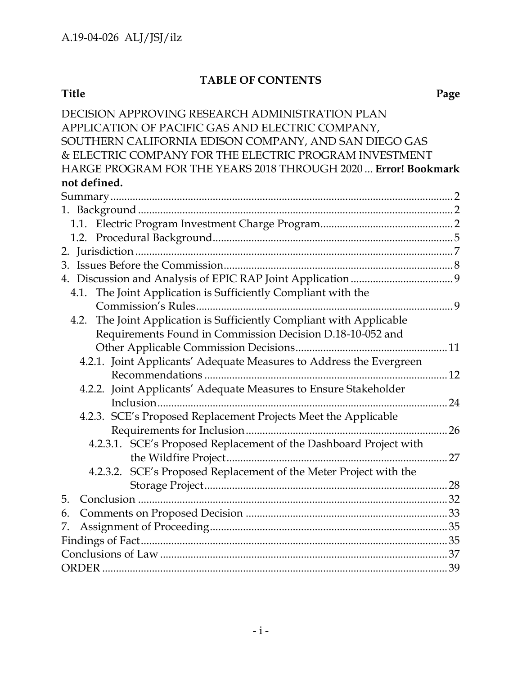# **TABLE OF CONTENTS**

#### **Title Page**

| DECISION APPROVING RESEARCH ADMINISTRATION PLAN                      |    |
|----------------------------------------------------------------------|----|
| APPLICATION OF PACIFIC GAS AND ELECTRIC COMPANY,                     |    |
| SOUTHERN CALIFORNIA EDISON COMPANY, AND SAN DIEGO GAS                |    |
| & ELECTRIC COMPANY FOR THE ELECTRIC PROGRAM INVESTMENT               |    |
| HARGE PROGRAM FOR THE YEARS 2018 THROUGH 2020  Error! Bookmark       |    |
| not defined.                                                         |    |
|                                                                      |    |
|                                                                      |    |
|                                                                      |    |
|                                                                      |    |
|                                                                      |    |
|                                                                      |    |
|                                                                      |    |
| 4.1. The Joint Application is Sufficiently Compliant with the        |    |
|                                                                      |    |
| 4.2. The Joint Application is Sufficiently Compliant with Applicable |    |
| Requirements Found in Commission Decision D.18-10-052 and            |    |
|                                                                      |    |
| 4.2.1. Joint Applicants' Adequate Measures to Address the Evergreen  |    |
|                                                                      |    |
| 4.2.2. Joint Applicants' Adequate Measures to Ensure Stakeholder     |    |
|                                                                      | 24 |
| 4.2.3. SCE's Proposed Replacement Projects Meet the Applicable       |    |
|                                                                      | 26 |
| 4.2.3.1. SCE's Proposed Replacement of the Dashboard Project with    |    |
|                                                                      | 27 |
| SCE's Proposed Replacement of the Meter Project with the<br>4.2.3.2. |    |
|                                                                      | 28 |
| 5.                                                                   |    |
| 6.                                                                   |    |
| 7.                                                                   |    |
|                                                                      |    |
|                                                                      |    |
|                                                                      |    |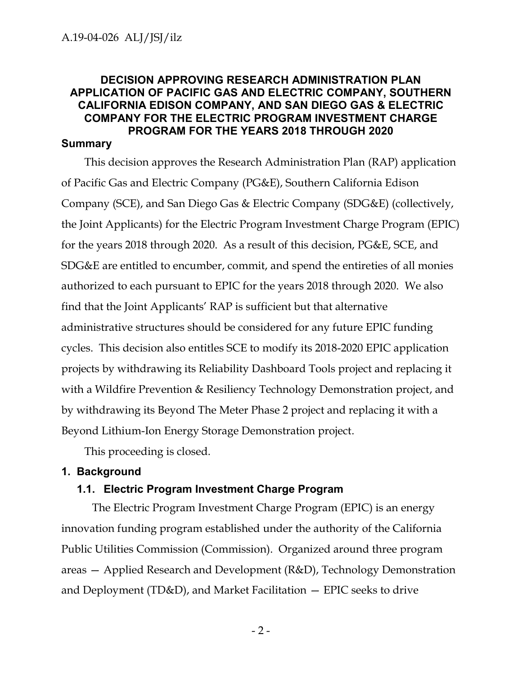# **DECISION APPROVING RESEARCH ADMINISTRATION PLAN APPLICATION OF PACIFIC GAS AND ELECTRIC COMPANY, SOUTHERN CALIFORNIA EDISON COMPANY, AND SAN DIEGO GAS & ELECTRIC COMPANY FOR THE ELECTRIC PROGRAM INVESTMENT CHARGE PROGRAM FOR THE YEARS 2018 THROUGH 2020**

#### <span id="page-2-0"></span>**Summary**

This decision approves the Research Administration Plan (RAP) application of Pacific Gas and Electric Company (PG&E), Southern California Edison Company (SCE), and San Diego Gas & Electric Company (SDG&E) (collectively, the Joint Applicants) for the Electric Program Investment Charge Program (EPIC) for the years 2018 through 2020. As a result of this decision, PG&E, SCE, and SDG&E are entitled to encumber, commit, and spend the entireties of all monies authorized to each pursuant to EPIC for the years 2018 through 2020. We also find that the Joint Applicants' RAP is sufficient but that alternative administrative structures should be considered for any future EPIC funding cycles. This decision also entitles SCE to modify its 2018-2020 EPIC application projects by withdrawing its Reliability Dashboard Tools project and replacing it with a Wildfire Prevention & Resiliency Technology Demonstration project, and by withdrawing its Beyond The Meter Phase 2 project and replacing it with a Beyond Lithium-Ion Energy Storage Demonstration project.

This proceeding is closed.

#### <span id="page-2-1"></span>**1. Background**

### <span id="page-2-2"></span>**1.1. Electric Program Investment Charge Program**

The Electric Program Investment Charge Program (EPIC) is an energy innovation funding program established under the authority of the California Public Utilities Commission (Commission). Organized around three program areas — Applied Research and Development (R&D), Technology Demonstration and Deployment ( $TD&D$ ), and Market Facilitation  $-$  EPIC seeks to drive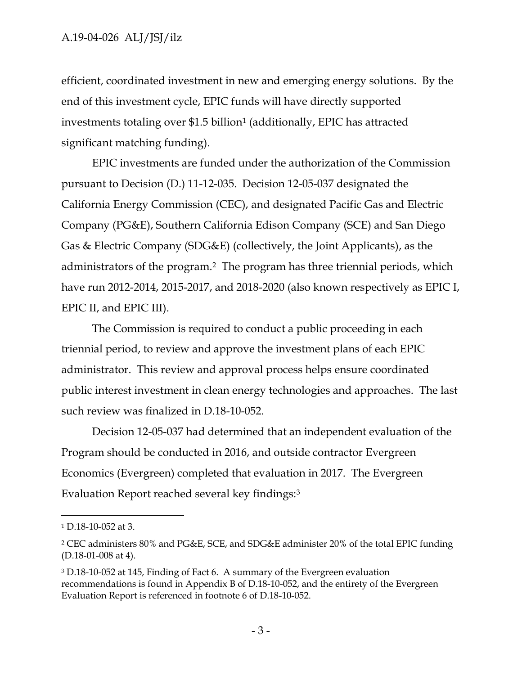efficient, coordinated investment in new and emerging energy solutions. By the end of this investment cycle, EPIC funds will have directly supported investments totaling over \$1.5 billion<sup>1</sup> (additionally, EPIC has attracted significant matching funding).

EPIC investments are funded under the authorization of the Commission pursuant to Decision (D.) 11-12-035. Decision 12-05-037 designated the California Energy Commission (CEC), and designated Pacific Gas and Electric Company (PG&E), Southern California Edison Company (SCE) and San Diego Gas & Electric Company (SDG&E) (collectively, the Joint Applicants), as the administrators of the program.2 The program has three triennial periods, which have run 2012-2014, 2015-2017, and 2018-2020 (also known respectively as EPIC I, EPIC II, and EPIC III).

The Commission is required to conduct a public proceeding in each triennial period, to review and approve the investment plans of each EPIC administrator. This review and approval process helps ensure coordinated public interest investment in clean energy technologies and approaches. The last such review was finalized in D.18-10-052.

Decision 12-05-037 had determined that an independent evaluation of the Program should be conducted in 2016, and outside contractor Evergreen Economics (Evergreen) completed that evaluation in 2017. The Evergreen Evaluation Report reached several key findings:<sup>3</sup>

<sup>1</sup> D.18-10-052 at 3.

<sup>2</sup> CEC administers 80% and PG&E, SCE, and SDG&E administer 20% of the total EPIC funding (D.18-01-008 at 4).

<sup>3</sup> D.18-10-052 at 145, Finding of Fact 6. A summary of the Evergreen evaluation recommendations is found in Appendix B of D.18-10-052, and the entirety of the Evergreen Evaluation Report is referenced in footnote 6 of D.18-10-052.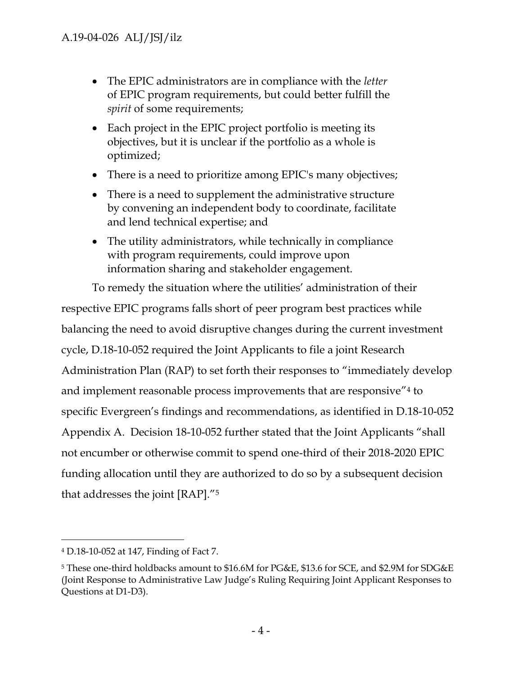- The EPIC administrators are in compliance with the *letter* of EPIC program requirements, but could better fulfill the *spirit* of some requirements;
- Each project in the EPIC project portfolio is meeting its objectives, but it is unclear if the portfolio as a whole is optimized;
- There is a need to prioritize among EPIC's many objectives;
- There is a need to supplement the administrative structure by convening an independent body to coordinate, facilitate and lend technical expertise; and
- The utility administrators, while technically in compliance with program requirements, could improve upon information sharing and stakeholder engagement.

To remedy the situation where the utilities' administration of their respective EPIC programs falls short of peer program best practices while balancing the need to avoid disruptive changes during the current investment cycle, D.18-10-052 required the Joint Applicants to file a joint Research Administration Plan (RAP) to set forth their responses to "immediately develop and implement reasonable process improvements that are responsive"<sup>4</sup> to specific Evergreen's findings and recommendations, as identified in D.18-10-052 Appendix A. Decision 18-10-052 further stated that the Joint Applicants "shall not encumber or otherwise commit to spend one-third of their 2018-2020 EPIC funding allocation until they are authorized to do so by a subsequent decision that addresses the joint [RAP]."<sup>5</sup>

<sup>4</sup> D.18-10-052 at 147, Finding of Fact 7.

<sup>5</sup> These one-third holdbacks amount to \$16.6M for PG&E, \$13.6 for SCE, and \$2.9M for SDG&E (Joint Response to Administrative Law Judge's Ruling Requiring Joint Applicant Responses to Questions at D1-D3).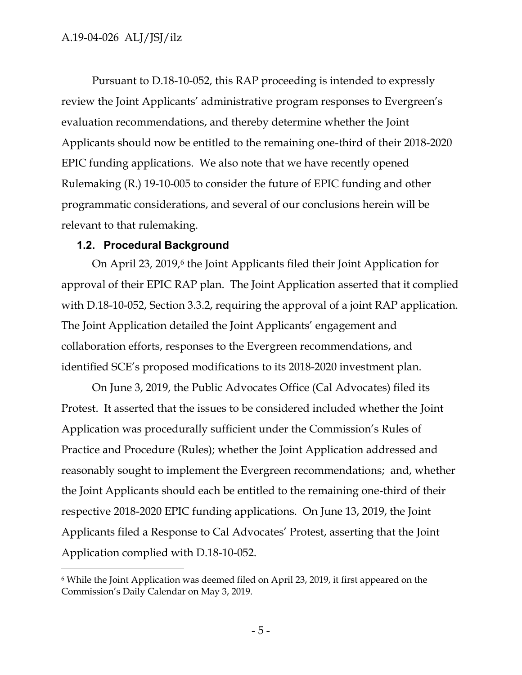Pursuant to D.18-10-052, this RAP proceeding is intended to expressly review the Joint Applicants' administrative program responses to Evergreen's evaluation recommendations, and thereby determine whether the Joint Applicants should now be entitled to the remaining one-third of their 2018-2020 EPIC funding applications. We also note that we have recently opened Rulemaking (R.) 19-10-005 to consider the future of EPIC funding and other programmatic considerations, and several of our conclusions herein will be relevant to that rulemaking.

#### <span id="page-5-0"></span>**1.2. Procedural Background**

 $\overline{a}$ 

On April 23, 2019, <sup>6</sup> the Joint Applicants filed their Joint Application for approval of their EPIC RAP plan. The Joint Application asserted that it complied with D.18-10-052, Section 3.3.2, requiring the approval of a joint RAP application. The Joint Application detailed the Joint Applicants' engagement and collaboration efforts, responses to the Evergreen recommendations, and identified SCE's proposed modifications to its 2018-2020 investment plan.

On June 3, 2019, the Public Advocates Office (Cal Advocates) filed its Protest. It asserted that the issues to be considered included whether the Joint Application was procedurally sufficient under the Commission's Rules of Practice and Procedure (Rules); whether the Joint Application addressed and reasonably sought to implement the Evergreen recommendations; and, whether the Joint Applicants should each be entitled to the remaining one-third of their respective 2018-2020 EPIC funding applications. On June 13, 2019, the Joint Applicants filed a Response to Cal Advocates' Protest, asserting that the Joint Application complied with D.18-10-052.

<sup>6</sup> While the Joint Application was deemed filed on April 23, 2019, it first appeared on the Commission's Daily Calendar on May 3, 2019.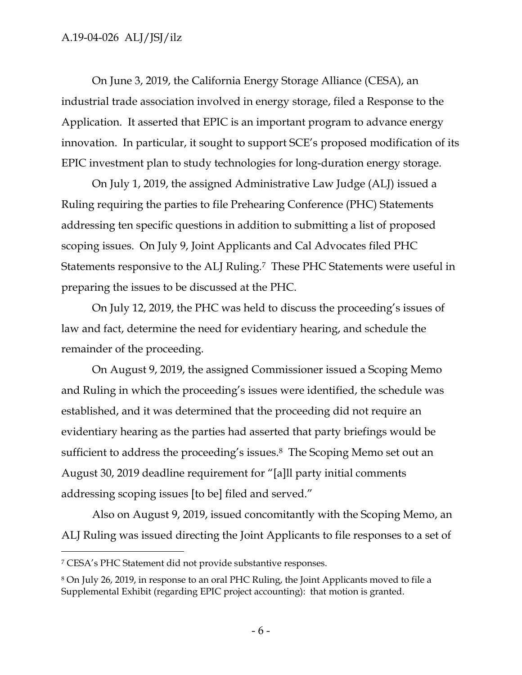On June 3, 2019, the California Energy Storage Alliance (CESA), an industrial trade association involved in energy storage, filed a Response to the Application. It asserted that EPIC is an important program to advance energy innovation. In particular, it sought to support SCE's proposed modification of its EPIC investment plan to study technologies for long-duration energy storage.

On July 1, 2019, the assigned Administrative Law Judge (ALJ) issued a Ruling requiring the parties to file Prehearing Conference (PHC) Statements addressing ten specific questions in addition to submitting a list of proposed scoping issues. On July 9, Joint Applicants and Cal Advocates filed PHC Statements responsive to the ALJ Ruling.7 These PHC Statements were useful in preparing the issues to be discussed at the PHC.

On July 12, 2019, the PHC was held to discuss the proceeding's issues of law and fact, determine the need for evidentiary hearing, and schedule the remainder of the proceeding.

On August 9, 2019, the assigned Commissioner issued a Scoping Memo and Ruling in which the proceeding's issues were identified, the schedule was established, and it was determined that the proceeding did not require an evidentiary hearing as the parties had asserted that party briefings would be sufficient to address the proceeding's issues.8 The Scoping Memo set out an August 30, 2019 deadline requirement for "[a]ll party initial comments addressing scoping issues [to be] filed and served."

Also on August 9, 2019, issued concomitantly with the Scoping Memo, an ALJ Ruling was issued directing the Joint Applicants to file responses to a set of

<sup>7</sup> CESA's PHC Statement did not provide substantive responses.

<sup>8</sup> On July 26, 2019, in response to an oral PHC Ruling, the Joint Applicants moved to file a Supplemental Exhibit (regarding EPIC project accounting): that motion is granted.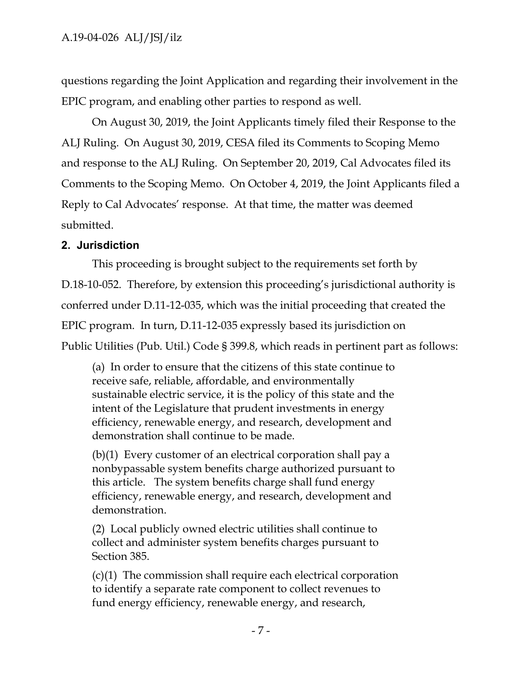questions regarding the Joint Application and regarding their involvement in the EPIC program, and enabling other parties to respond as well.

On August 30, 2019, the Joint Applicants timely filed their Response to the ALJ Ruling. On August 30, 2019, CESA filed its Comments to Scoping Memo and response to the ALJ Ruling. On September 20, 2019, Cal Advocates filed its Comments to the Scoping Memo. On October 4, 2019, the Joint Applicants filed a Reply to Cal Advocates' response. At that time, the matter was deemed submitted.

# <span id="page-7-0"></span>**2. Jurisdiction**

This proceeding is brought subject to the requirements set forth by

D.18-10-052. Therefore, by extension this proceeding's jurisdictional authority is conferred under D.11-12-035, which was the initial proceeding that created the EPIC program. In turn, D.11-12-035 expressly based its jurisdiction on Public Utilities (Pub. Util.) Code § 399.8, which reads in pertinent part as follows:

(a) In order to ensure that the citizens of this state continue to receive safe, reliable, affordable, and environmentally sustainable electric service, it is the policy of this state and the intent of the Legislature that prudent investments in energy efficiency, renewable energy, and research, development and demonstration shall continue to be made.

(b)(1) Every customer of an electrical corporation shall pay a nonbypassable system benefits charge authorized pursuant to this article. The system benefits charge shall fund energy efficiency, renewable energy, and research, development and demonstration.

(2) Local publicly owned electric utilities shall continue to collect and administer system benefits charges pursuant to Section 385.

(c)(1) The commission shall require each electrical corporation to identify a separate rate component to collect revenues to fund energy efficiency, renewable energy, and research,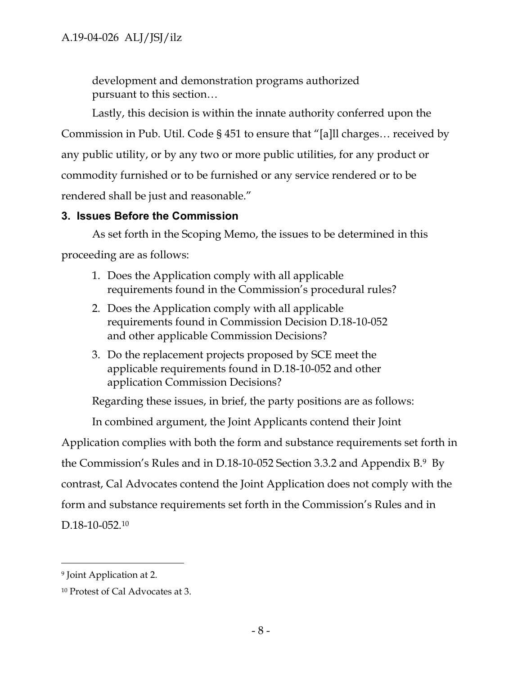development and demonstration programs authorized pursuant to this section…

Lastly, this decision is within the innate authority conferred upon the Commission in Pub. Util. Code § 451 to ensure that "[a]ll charges… received by any public utility, or by any two or more public utilities, for any product or commodity furnished or to be furnished or any service rendered or to be rendered shall be just and reasonable."

### <span id="page-8-0"></span>**3. Issues Before the Commission**

As set forth in the Scoping Memo, the issues to be determined in this proceeding are as follows:

- 1. Does the Application comply with all applicable requirements found in the Commission's procedural rules?
- 2. Does the Application comply with all applicable requirements found in Commission Decision D.18-10-052 and other applicable Commission Decisions?
- 3. Do the replacement projects proposed by SCE meet the applicable requirements found in D.18-10-052 and other application Commission Decisions?

Regarding these issues, in brief, the party positions are as follows:

In combined argument, the Joint Applicants contend their Joint

Application complies with both the form and substance requirements set forth in the Commission's Rules and in D.18-10-052 Section 3.3.2 and Appendix B. <sup>9</sup> By contrast, Cal Advocates contend the Joint Application does not comply with the form and substance requirements set forth in the Commission's Rules and in D.18-10-052.<sup>10</sup>

<sup>9</sup> Joint Application at 2.

<sup>10</sup> Protest of Cal Advocates at 3.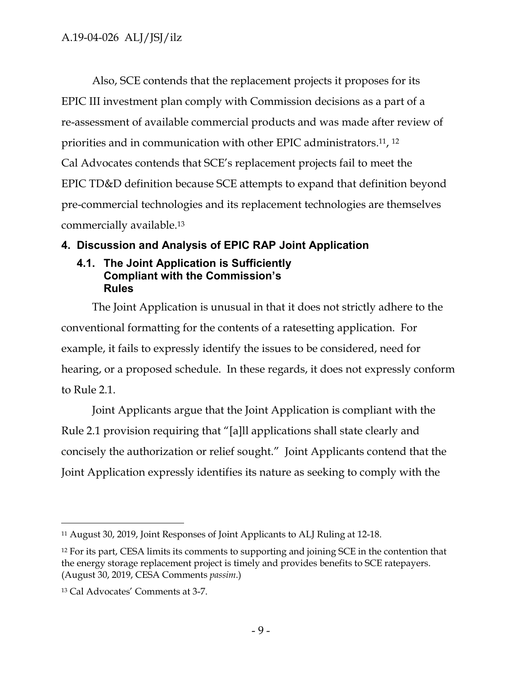Also, SCE contends that the replacement projects it proposes for its EPIC III investment plan comply with Commission decisions as a part of a re-assessment of available commercial products and was made after review of priorities and in communication with other EPIC administrators. 11, 12 Cal Advocates contends that SCE's replacement projects fail to meet the EPIC TD&D definition because SCE attempts to expand that definition beyond pre-commercial technologies and its replacement technologies are themselves commercially available.<sup>13</sup>

# <span id="page-9-0"></span>**4. Discussion and Analysis of EPIC RAP Joint Application**

### <span id="page-9-1"></span>**4.1. The Joint Application is Sufficiently Compliant with the Commission's Rules**

The Joint Application is unusual in that it does not strictly adhere to the conventional formatting for the contents of a ratesetting application. For example, it fails to expressly identify the issues to be considered, need for hearing, or a proposed schedule. In these regards, it does not expressly conform to Rule 2.1.

Joint Applicants argue that the Joint Application is compliant with the Rule 2.1 provision requiring that "[a]ll applications shall state clearly and concisely the authorization or relief sought." Joint Applicants contend that the Joint Application expressly identifies its nature as seeking to comply with the

 $\overline{a}$ <sup>11</sup> August 30, 2019, Joint Responses of Joint Applicants to ALJ Ruling at 12-18.

<sup>&</sup>lt;sup>12</sup> For its part, CESA limits its comments to supporting and joining SCE in the contention that the energy storage replacement project is timely and provides benefits to SCE ratepayers. (August 30, 2019, CESA Comments *passim*.)

<sup>13</sup> Cal Advocates' Comments at 3-7.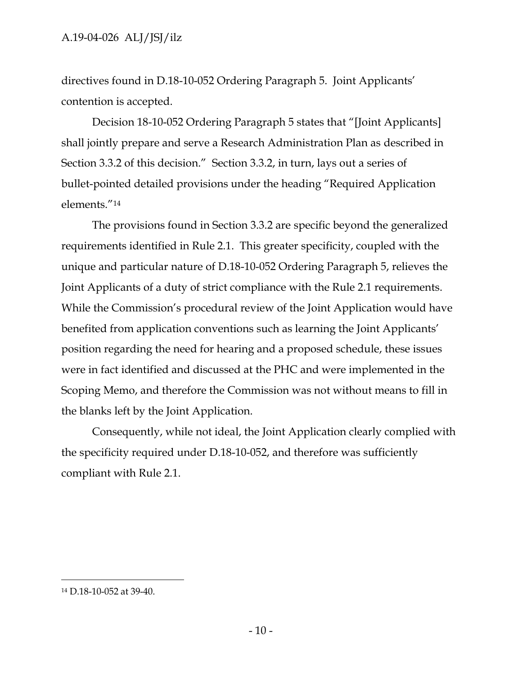directives found in D.18-10-052 Ordering Paragraph 5. Joint Applicants' contention is accepted.

Decision 18-10-052 Ordering Paragraph 5 states that "[Joint Applicants] shall jointly prepare and serve a Research Administration Plan as described in Section 3.3.2 of this decision." Section 3.3.2, in turn, lays out a series of bullet-pointed detailed provisions under the heading "Required Application elements."<sup>14</sup>

The provisions found in Section 3.3.2 are specific beyond the generalized requirements identified in Rule 2.1. This greater specificity, coupled with the unique and particular nature of D.18-10-052 Ordering Paragraph 5, relieves the Joint Applicants of a duty of strict compliance with the Rule 2.1 requirements. While the Commission's procedural review of the Joint Application would have benefited from application conventions such as learning the Joint Applicants' position regarding the need for hearing and a proposed schedule, these issues were in fact identified and discussed at the PHC and were implemented in the Scoping Memo, and therefore the Commission was not without means to fill in the blanks left by the Joint Application.

Consequently, while not ideal, the Joint Application clearly complied with the specificity required under D.18-10-052, and therefore was sufficiently compliant with Rule 2.1.

<sup>14</sup> D.18-10-052 at 39-40.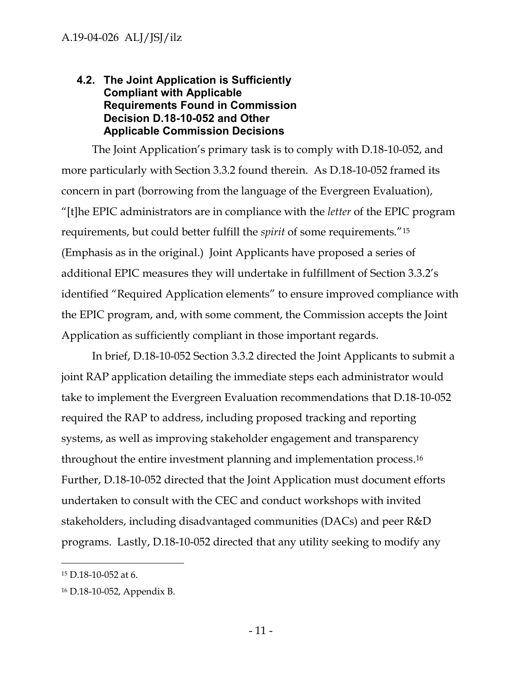### <span id="page-11-0"></span>**4.2. The Joint Application is Sufficiently Compliant with Applicable Requirements Found in Commission Decision D.18-10-052 and Other Applicable Commission Decisions**

The Joint Application's primary task is to comply with D.18-10-052, and more particularly with Section 3.3.2 found therein. As D.18-10-052 framed its concern in part (borrowing from the language of the Evergreen Evaluation), "[t]he EPIC administrators are in compliance with the *letter* of the EPIC program requirements, but could better fulfill the *spirit* of some requirements."<sup>15</sup> (Emphasis as in the original.) Joint Applicants have proposed a series of additional EPIC measures they will undertake in fulfillment of Section 3.3.2's identified "Required Application elements" to ensure improved compliance with the EPIC program, and, with some comment, the Commission accepts the Joint Application as sufficiently compliant in those important regards.

In brief, D.18-10-052 Section 3.3.2 directed the Joint Applicants to submit a joint RAP application detailing the immediate steps each administrator would take to implement the Evergreen Evaluation recommendations that D.18-10-052 required the RAP to address, including proposed tracking and reporting systems, as well as improving stakeholder engagement and transparency throughout the entire investment planning and implementation process. 16 Further, D.18-10-052 directed that the Joint Application must document efforts undertaken to consult with the CEC and conduct workshops with invited stakeholders, including disadvantaged communities (DACs) and peer R&D programs. Lastly, D.18-10-052 directed that any utility seeking to modify any

<sup>15</sup> D.18-10-052 at 6.

<sup>16</sup> D.18-10-052, Appendix B.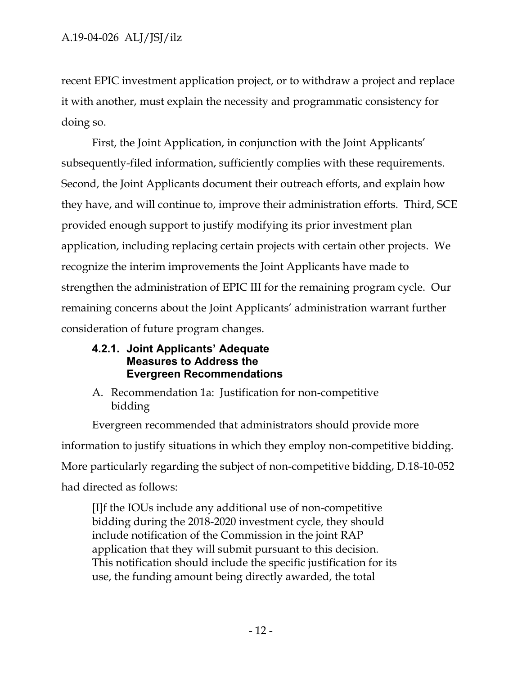recent EPIC investment application project, or to withdraw a project and replace it with another, must explain the necessity and programmatic consistency for doing so.

First, the Joint Application, in conjunction with the Joint Applicants' subsequently-filed information, sufficiently complies with these requirements. Second, the Joint Applicants document their outreach efforts, and explain how they have, and will continue to, improve their administration efforts. Third, SCE provided enough support to justify modifying its prior investment plan application, including replacing certain projects with certain other projects. We recognize the interim improvements the Joint Applicants have made to strengthen the administration of EPIC III for the remaining program cycle. Our remaining concerns about the Joint Applicants' administration warrant further consideration of future program changes.

### <span id="page-12-0"></span>**4.2.1. Joint Applicants' Adequate Measures to Address the Evergreen Recommendations**

A. Recommendation 1a: Justification for non-competitive bidding

Evergreen recommended that administrators should provide more information to justify situations in which they employ non-competitive bidding. More particularly regarding the subject of non-competitive bidding, D.18-10-052 had directed as follows:

[I]f the IOUs include any additional use of non-competitive bidding during the 2018-2020 investment cycle, they should include notification of the Commission in the joint RAP application that they will submit pursuant to this decision. This notification should include the specific justification for its use, the funding amount being directly awarded, the total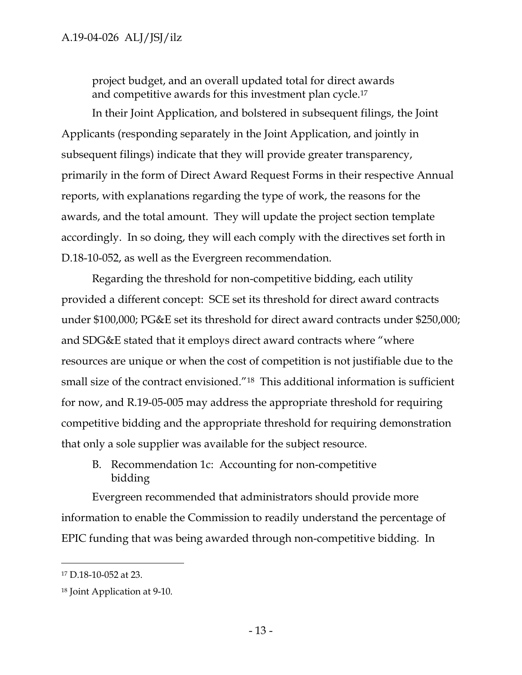project budget, and an overall updated total for direct awards and competitive awards for this investment plan cycle.<sup>17</sup>

In their Joint Application, and bolstered in subsequent filings, the Joint Applicants (responding separately in the Joint Application, and jointly in subsequent filings) indicate that they will provide greater transparency, primarily in the form of Direct Award Request Forms in their respective Annual reports, with explanations regarding the type of work, the reasons for the awards, and the total amount. They will update the project section template accordingly. In so doing, they will each comply with the directives set forth in D.18-10-052, as well as the Evergreen recommendation.

Regarding the threshold for non-competitive bidding, each utility provided a different concept: SCE set its threshold for direct award contracts under \$100,000; PG&E set its threshold for direct award contracts under \$250,000; and SDG&E stated that it employs direct award contracts where "where resources are unique or when the cost of competition is not justifiable due to the small size of the contract envisioned."18 This additional information is sufficient for now, and R.19-05-005 may address the appropriate threshold for requiring competitive bidding and the appropriate threshold for requiring demonstration that only a sole supplier was available for the subject resource.

B. Recommendation 1c: Accounting for non-competitive bidding

Evergreen recommended that administrators should provide more information to enable the Commission to readily understand the percentage of EPIC funding that was being awarded through non-competitive bidding. In

<sup>17</sup> D.18-10-052 at 23.

<sup>18</sup> Joint Application at 9-10.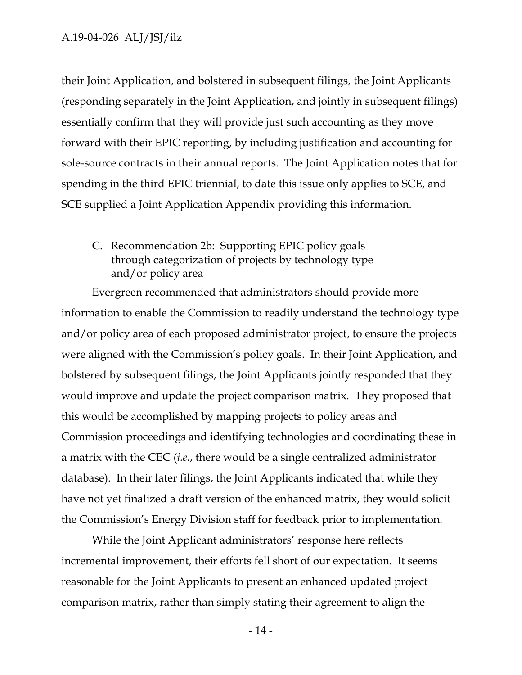#### A.19-04-026 ALJ/JSJ/ilz

their Joint Application, and bolstered in subsequent filings, the Joint Applicants (responding separately in the Joint Application, and jointly in subsequent filings) essentially confirm that they will provide just such accounting as they move forward with their EPIC reporting, by including justification and accounting for sole-source contracts in their annual reports. The Joint Application notes that for spending in the third EPIC triennial, to date this issue only applies to SCE, and SCE supplied a Joint Application Appendix providing this information.

# C. Recommendation 2b: Supporting EPIC policy goals through categorization of projects by technology type and/or policy area

Evergreen recommended that administrators should provide more information to enable the Commission to readily understand the technology type and/or policy area of each proposed administrator project, to ensure the projects were aligned with the Commission's policy goals. In their Joint Application, and bolstered by subsequent filings, the Joint Applicants jointly responded that they would improve and update the project comparison matrix. They proposed that this would be accomplished by mapping projects to policy areas and Commission proceedings and identifying technologies and coordinating these in a matrix with the CEC (*i.e.*, there would be a single centralized administrator database). In their later filings, the Joint Applicants indicated that while they have not yet finalized a draft version of the enhanced matrix, they would solicit the Commission's Energy Division staff for feedback prior to implementation.

While the Joint Applicant administrators' response here reflects incremental improvement, their efforts fell short of our expectation. It seems reasonable for the Joint Applicants to present an enhanced updated project comparison matrix, rather than simply stating their agreement to align the

- 14 -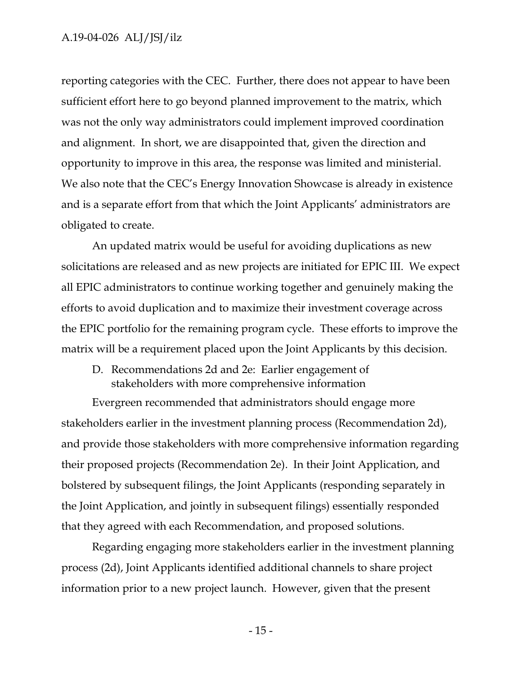#### A.19-04-026 ALJ/JSJ/ilz

reporting categories with the CEC. Further, there does not appear to have been sufficient effort here to go beyond planned improvement to the matrix, which was not the only way administrators could implement improved coordination and alignment. In short, we are disappointed that, given the direction and opportunity to improve in this area, the response was limited and ministerial. We also note that the CEC's Energy Innovation Showcase is already in existence and is a separate effort from that which the Joint Applicants' administrators are obligated to create.

An updated matrix would be useful for avoiding duplications as new solicitations are released and as new projects are initiated for EPIC III. We expect all EPIC administrators to continue working together and genuinely making the efforts to avoid duplication and to maximize their investment coverage across the EPIC portfolio for the remaining program cycle. These efforts to improve the matrix will be a requirement placed upon the Joint Applicants by this decision.

D. Recommendations 2d and 2e: Earlier engagement of stakeholders with more comprehensive information

Evergreen recommended that administrators should engage more stakeholders earlier in the investment planning process (Recommendation 2d), and provide those stakeholders with more comprehensive information regarding their proposed projects (Recommendation 2e). In their Joint Application, and bolstered by subsequent filings, the Joint Applicants (responding separately in the Joint Application, and jointly in subsequent filings) essentially responded that they agreed with each Recommendation, and proposed solutions.

Regarding engaging more stakeholders earlier in the investment planning process (2d), Joint Applicants identified additional channels to share project information prior to a new project launch. However, given that the present

- 15 -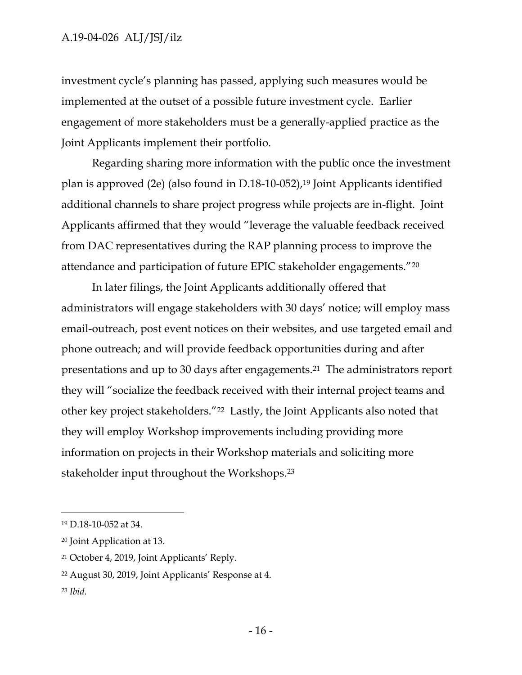investment cycle's planning has passed, applying such measures would be implemented at the outset of a possible future investment cycle. Earlier engagement of more stakeholders must be a generally-applied practice as the Joint Applicants implement their portfolio.

Regarding sharing more information with the public once the investment plan is approved (2e) (also found in D.18-10-052), <sup>19</sup> Joint Applicants identified additional channels to share project progress while projects are in-flight. Joint Applicants affirmed that they would "leverage the valuable feedback received from DAC representatives during the RAP planning process to improve the attendance and participation of future EPIC stakeholder engagements."<sup>20</sup>

In later filings, the Joint Applicants additionally offered that administrators will engage stakeholders with 30 days' notice; will employ mass email-outreach, post event notices on their websites, and use targeted email and phone outreach; and will provide feedback opportunities during and after presentations and up to 30 days after engagements.21 The administrators report they will "socialize the feedback received with their internal project teams and other key project stakeholders."22 Lastly, the Joint Applicants also noted that they will employ Workshop improvements including providing more information on projects in their Workshop materials and soliciting more stakeholder input throughout the Workshops.<sup>23</sup>

<sup>19</sup> D.18-10-052 at 34.

<sup>20</sup> Joint Application at 13.

<sup>21</sup> October 4, 2019, Joint Applicants' Reply.

<sup>22</sup> August 30, 2019, Joint Applicants' Response at 4.

<sup>23</sup> *Ibid.*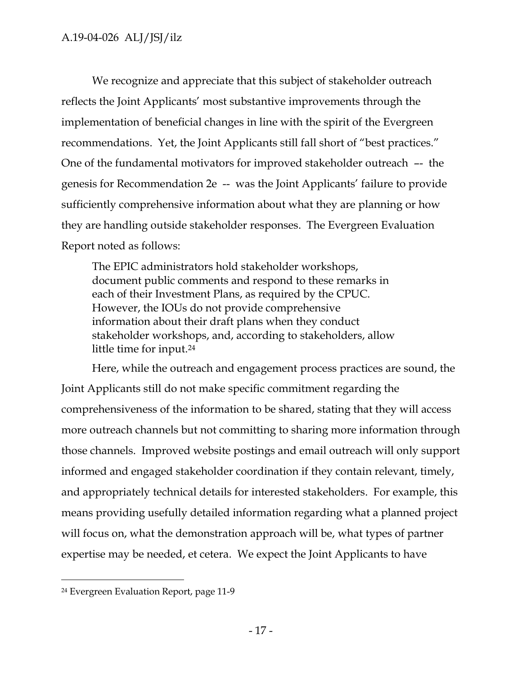We recognize and appreciate that this subject of stakeholder outreach reflects the Joint Applicants' most substantive improvements through the implementation of beneficial changes in line with the spirit of the Evergreen recommendations. Yet, the Joint Applicants still fall short of "best practices." One of the fundamental motivators for improved stakeholder outreach –- the genesis for Recommendation 2e -- was the Joint Applicants' failure to provide sufficiently comprehensive information about what they are planning or how they are handling outside stakeholder responses. The Evergreen Evaluation Report noted as follows:

The EPIC administrators hold stakeholder workshops, document public comments and respond to these remarks in each of their Investment Plans, as required by the CPUC. However, the IOUs do not provide comprehensive information about their draft plans when they conduct stakeholder workshops, and, according to stakeholders, allow little time for input.<sup>24</sup>

Here, while the outreach and engagement process practices are sound, the Joint Applicants still do not make specific commitment regarding the comprehensiveness of the information to be shared, stating that they will access more outreach channels but not committing to sharing more information through those channels. Improved website postings and email outreach will only support informed and engaged stakeholder coordination if they contain relevant, timely, and appropriately technical details for interested stakeholders. For example, this means providing usefully detailed information regarding what a planned project will focus on, what the demonstration approach will be, what types of partner expertise may be needed, et cetera. We expect the Joint Applicants to have

<sup>24</sup> Evergreen Evaluation Report, page 11-9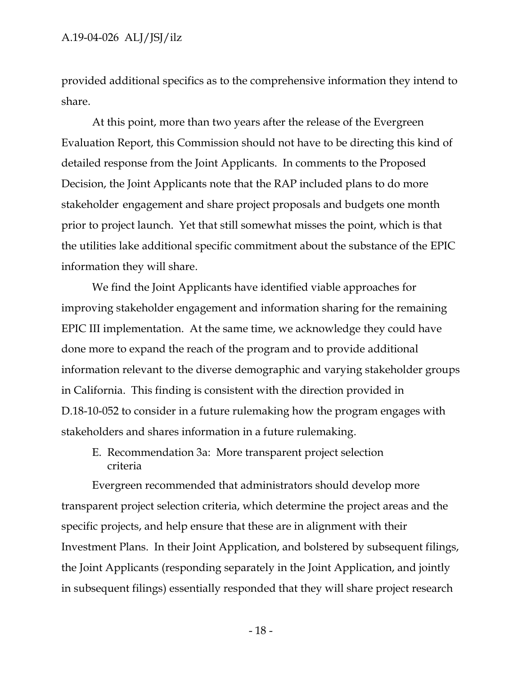provided additional specifics as to the comprehensive information they intend to share.

At this point, more than two years after the release of the Evergreen Evaluation Report, this Commission should not have to be directing this kind of detailed response from the Joint Applicants. In comments to the Proposed Decision, the Joint Applicants note that the RAP included plans to do more stakeholder engagement and share project proposals and budgets one month prior to project launch. Yet that still somewhat misses the point, which is that the utilities lake additional specific commitment about the substance of the EPIC information they will share.

We find the Joint Applicants have identified viable approaches for improving stakeholder engagement and information sharing for the remaining EPIC III implementation. At the same time, we acknowledge they could have done more to expand the reach of the program and to provide additional information relevant to the diverse demographic and varying stakeholder groups in California. This finding is consistent with the direction provided in D.18-10-052 to consider in a future rulemaking how the program engages with stakeholders and shares information in a future rulemaking.

E. Recommendation 3a: More transparent project selection criteria

Evergreen recommended that administrators should develop more transparent project selection criteria, which determine the project areas and the specific projects, and help ensure that these are in alignment with their Investment Plans. In their Joint Application, and bolstered by subsequent filings, the Joint Applicants (responding separately in the Joint Application, and jointly in subsequent filings) essentially responded that they will share project research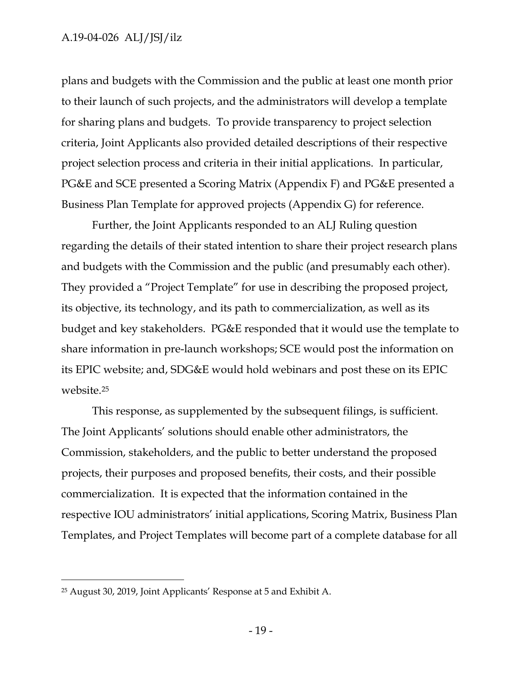### A.19-04-026 ALJ/JSJ/ilz

plans and budgets with the Commission and the public at least one month prior to their launch of such projects, and the administrators will develop a template for sharing plans and budgets. To provide transparency to project selection criteria, Joint Applicants also provided detailed descriptions of their respective project selection process and criteria in their initial applications. In particular, PG&E and SCE presented a Scoring Matrix (Appendix F) and PG&E presented a Business Plan Template for approved projects (Appendix G) for reference.

Further, the Joint Applicants responded to an ALJ Ruling question regarding the details of their stated intention to share their project research plans and budgets with the Commission and the public (and presumably each other). They provided a "Project Template" for use in describing the proposed project, its objective, its technology, and its path to commercialization, as well as its budget and key stakeholders. PG&E responded that it would use the template to share information in pre-launch workshops; SCE would post the information on its EPIC website; and, SDG&E would hold webinars and post these on its EPIC website.<sup>25</sup>

This response, as supplemented by the subsequent filings, is sufficient. The Joint Applicants' solutions should enable other administrators, the Commission, stakeholders, and the public to better understand the proposed projects, their purposes and proposed benefits, their costs, and their possible commercialization. It is expected that the information contained in the respective IOU administrators' initial applications, Scoring Matrix, Business Plan Templates, and Project Templates will become part of a complete database for all

<sup>25</sup> August 30, 2019, Joint Applicants' Response at 5 and Exhibit A.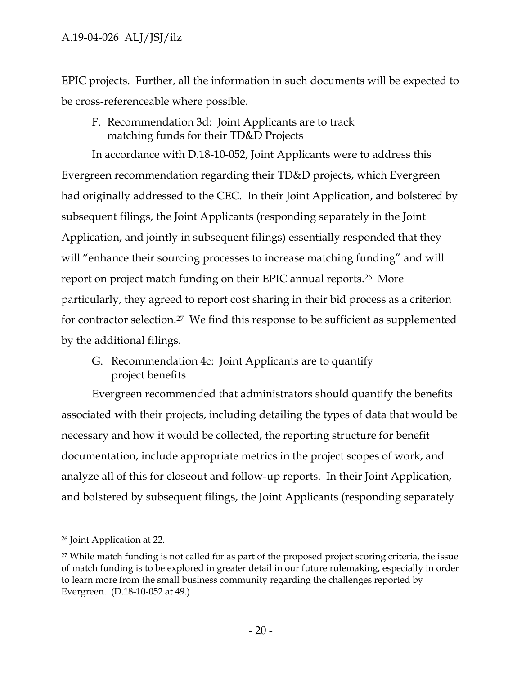EPIC projects. Further, all the information in such documents will be expected to be cross-referenceable where possible.

F. Recommendation 3d: Joint Applicants are to track matching funds for their TD&D Projects

In accordance with D.18-10-052, Joint Applicants were to address this Evergreen recommendation regarding their TD&D projects, which Evergreen had originally addressed to the CEC. In their Joint Application, and bolstered by subsequent filings, the Joint Applicants (responding separately in the Joint Application, and jointly in subsequent filings) essentially responded that they will "enhance their sourcing processes to increase matching funding" and will report on project match funding on their EPIC annual reports.26 More particularly, they agreed to report cost sharing in their bid process as a criterion for contractor selection.27 We find this response to be sufficient as supplemented by the additional filings.

G. Recommendation 4c: Joint Applicants are to quantify project benefits

Evergreen recommended that administrators should quantify the benefits associated with their projects, including detailing the types of data that would be necessary and how it would be collected, the reporting structure for benefit documentation, include appropriate metrics in the project scopes of work, and analyze all of this for closeout and follow-up reports. In their Joint Application, and bolstered by subsequent filings, the Joint Applicants (responding separately

<sup>26</sup> Joint Application at 22.

<sup>&</sup>lt;sup>27</sup> While match funding is not called for as part of the proposed project scoring criteria, the issue of match funding is to be explored in greater detail in our future rulemaking, especially in order to learn more from the small business community regarding the challenges reported by Evergreen. (D.18-10-052 at 49.)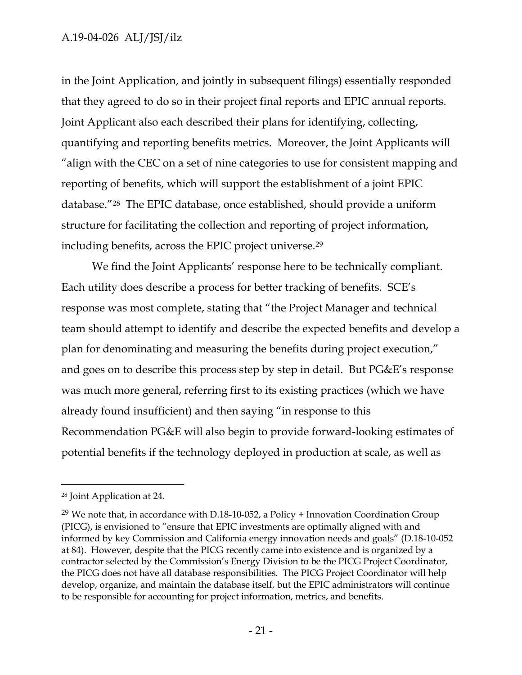### A.19-04-026 ALJ/JSJ/ilz

in the Joint Application, and jointly in subsequent filings) essentially responded that they agreed to do so in their project final reports and EPIC annual reports. Joint Applicant also each described their plans for identifying, collecting, quantifying and reporting benefits metrics. Moreover, the Joint Applicants will "align with the CEC on a set of nine categories to use for consistent mapping and reporting of benefits, which will support the establishment of a joint EPIC database."28 The EPIC database, once established, should provide a uniform structure for facilitating the collection and reporting of project information, including benefits, across the EPIC project universe.<sup>29</sup>

We find the Joint Applicants' response here to be technically compliant. Each utility does describe a process for better tracking of benefits. SCE's response was most complete, stating that "the Project Manager and technical team should attempt to identify and describe the expected benefits and develop a plan for denominating and measuring the benefits during project execution," and goes on to describe this process step by step in detail. But PG&E's response was much more general, referring first to its existing practices (which we have already found insufficient) and then saying "in response to this Recommendation PG&E will also begin to provide forward-looking estimates of potential benefits if the technology deployed in production at scale, as well as

<sup>28</sup> Joint Application at 24.

<sup>&</sup>lt;sup>29</sup> We note that, in accordance with D.18-10-052, a Policy  $+$  Innovation Coordination Group (PICG), is envisioned to "ensure that EPIC investments are optimally aligned with and informed by key Commission and California energy innovation needs and goals" (D.18-10-052 at 84). However, despite that the PICG recently came into existence and is organized by a contractor selected by the Commission's Energy Division to be the PICG Project Coordinator, the PICG does not have all database responsibilities. The PICG Project Coordinator will help develop, organize, and maintain the database itself, but the EPIC administrators will continue to be responsible for accounting for project information, metrics, and benefits.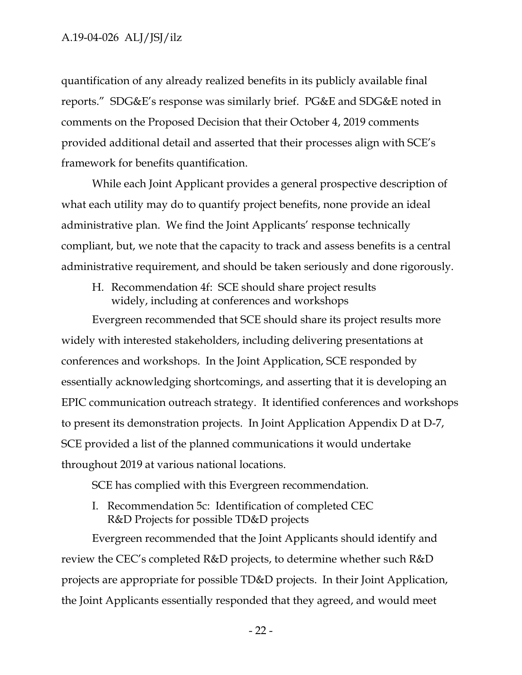quantification of any already realized benefits in its publicly available final reports." SDG&E's response was similarly brief. PG&E and SDG&E noted in comments on the Proposed Decision that their October 4, 2019 comments provided additional detail and asserted that their processes align with SCE's framework for benefits quantification.

While each Joint Applicant provides a general prospective description of what each utility may do to quantify project benefits, none provide an ideal administrative plan. We find the Joint Applicants' response technically compliant, but, we note that the capacity to track and assess benefits is a central administrative requirement, and should be taken seriously and done rigorously.

H. Recommendation 4f: SCE should share project results widely, including at conferences and workshops

Evergreen recommended that SCE should share its project results more widely with interested stakeholders, including delivering presentations at conferences and workshops. In the Joint Application, SCE responded by essentially acknowledging shortcomings, and asserting that it is developing an EPIC communication outreach strategy. It identified conferences and workshops to present its demonstration projects. In Joint Application Appendix D at D-7, SCE provided a list of the planned communications it would undertake throughout 2019 at various national locations.

SCE has complied with this Evergreen recommendation.

I. Recommendation 5c: Identification of completed CEC R&D Projects for possible TD&D projects

Evergreen recommended that the Joint Applicants should identify and review the CEC's completed R&D projects, to determine whether such R&D projects are appropriate for possible TD&D projects. In their Joint Application, the Joint Applicants essentially responded that they agreed, and would meet

- 22 -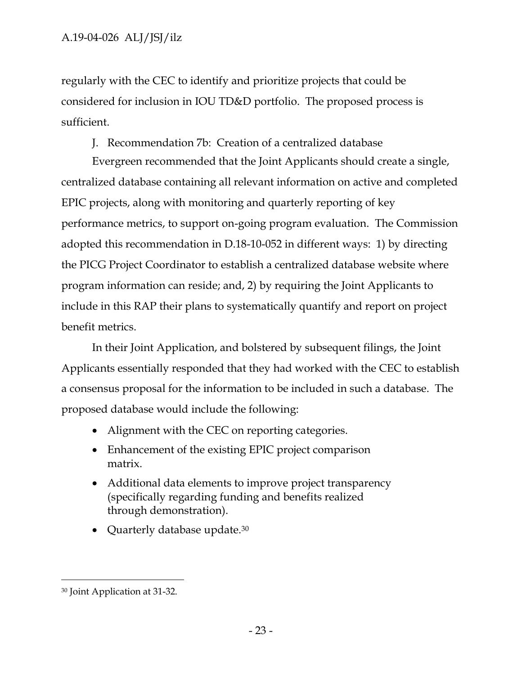regularly with the CEC to identify and prioritize projects that could be considered for inclusion in IOU TD&D portfolio. The proposed process is sufficient.

J. Recommendation 7b: Creation of a centralized database

Evergreen recommended that the Joint Applicants should create a single, centralized database containing all relevant information on active and completed EPIC projects, along with monitoring and quarterly reporting of key performance metrics, to support on-going program evaluation. The Commission adopted this recommendation in D.18-10-052 in different ways: 1) by directing the PICG Project Coordinator to establish a centralized database website where program information can reside; and, 2) by requiring the Joint Applicants to include in this RAP their plans to systematically quantify and report on project benefit metrics.

In their Joint Application, and bolstered by subsequent filings, the Joint Applicants essentially responded that they had worked with the CEC to establish a consensus proposal for the information to be included in such a database. The proposed database would include the following:

- Alignment with the CEC on reporting categories.
- Enhancement of the existing EPIC project comparison matrix.
- Additional data elements to improve project transparency (specifically regarding funding and benefits realized through demonstration).
- Quarterly database update.<sup>30</sup>

<sup>30</sup> Joint Application at 31-32.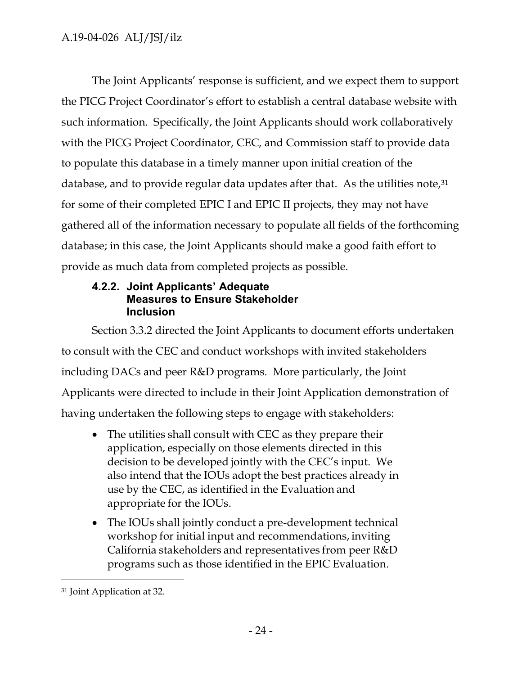The Joint Applicants' response is sufficient, and we expect them to support the PICG Project Coordinator's effort to establish a central database website with such information. Specifically, the Joint Applicants should work collaboratively with the PICG Project Coordinator, CEC, and Commission staff to provide data to populate this database in a timely manner upon initial creation of the database, and to provide regular data updates after that. As the utilities note, 31 for some of their completed EPIC I and EPIC II projects, they may not have gathered all of the information necessary to populate all fields of the forthcoming database; in this case, the Joint Applicants should make a good faith effort to provide as much data from completed projects as possible.

# <span id="page-24-0"></span>**4.2.2. Joint Applicants' Adequate Measures to Ensure Stakeholder Inclusion**

Section 3.3.2 directed the Joint Applicants to document efforts undertaken to consult with the CEC and conduct workshops with invited stakeholders including DACs and peer R&D programs. More particularly, the Joint Applicants were directed to include in their Joint Application demonstration of having undertaken the following steps to engage with stakeholders:

- The utilities shall consult with CEC as they prepare their application, especially on those elements directed in this decision to be developed jointly with the CEC's input. We also intend that the IOUs adopt the best practices already in use by the CEC, as identified in the Evaluation and appropriate for the IOUs.
- The IOUs shall jointly conduct a pre-development technical workshop for initial input and recommendations, inviting California stakeholders and representatives from peer R&D programs such as those identified in the EPIC Evaluation.

<sup>31</sup> Joint Application at 32.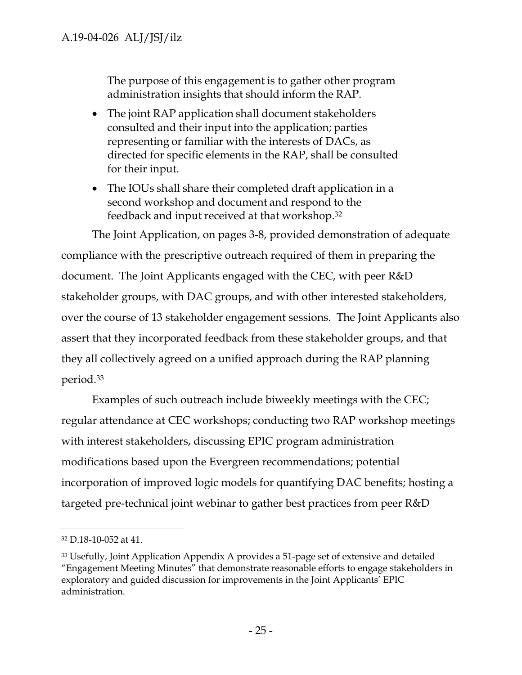The purpose of this engagement is to gather other program administration insights that should inform the RAP.

- The joint RAP application shall document stakeholders consulted and their input into the application; parties representing or familiar with the interests of DACs, as directed for specific elements in the RAP, shall be consulted for their input.
- The IOUs shall share their completed draft application in a second workshop and document and respond to the feedback and input received at that workshop. 32

The Joint Application, on pages 3-8, provided demonstration of adequate compliance with the prescriptive outreach required of them in preparing the document. The Joint Applicants engaged with the CEC, with peer R&D stakeholder groups, with DAC groups, and with other interested stakeholders, over the course of 13 stakeholder engagement sessions. The Joint Applicants also assert that they incorporated feedback from these stakeholder groups, and that they all collectively agreed on a unified approach during the RAP planning period.<sup>33</sup>

Examples of such outreach include biweekly meetings with the CEC; regular attendance at CEC workshops; conducting two RAP workshop meetings with interest stakeholders, discussing EPIC program administration modifications based upon the Evergreen recommendations; potential incorporation of improved logic models for quantifying DAC benefits; hosting a targeted pre-technical joint webinar to gather best practices from peer R&D

<sup>32</sup> D.18-10-052 at 41.

<sup>33</sup> Usefully, Joint Application Appendix A provides a 51-page set of extensive and detailed "Engagement Meeting Minutes" that demonstrate reasonable efforts to engage stakeholders in exploratory and guided discussion for improvements in the Joint Applicants' EPIC administration.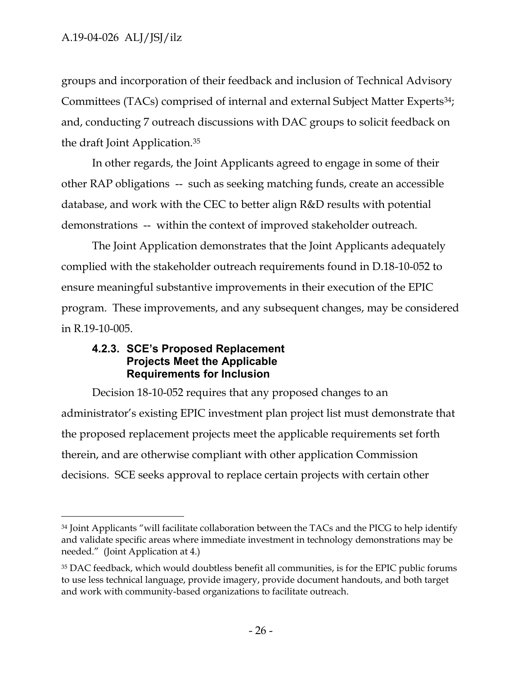$\overline{a}$ 

groups and incorporation of their feedback and inclusion of Technical Advisory Committees (TACs) comprised of internal and external Subject Matter Experts<sup>34</sup>; and, conducting 7 outreach discussions with DAC groups to solicit feedback on the draft Joint Application.<sup>35</sup>

In other regards, the Joint Applicants agreed to engage in some of their other RAP obligations -- such as seeking matching funds, create an accessible database, and work with the CEC to better align R&D results with potential demonstrations -- within the context of improved stakeholder outreach.

The Joint Application demonstrates that the Joint Applicants adequately complied with the stakeholder outreach requirements found in D.18-10-052 to ensure meaningful substantive improvements in their execution of the EPIC program. These improvements, and any subsequent changes, may be considered in R.19-10-005.

### <span id="page-26-0"></span>**4.2.3. SCE's Proposed Replacement Projects Meet the Applicable Requirements for Inclusion**

Decision 18-10-052 requires that any proposed changes to an administrator's existing EPIC investment plan project list must demonstrate that the proposed replacement projects meet the applicable requirements set forth therein, and are otherwise compliant with other application Commission decisions. SCE seeks approval to replace certain projects with certain other

<sup>&</sup>lt;sup>34</sup> Joint Applicants "will facilitate collaboration between the TACs and the PICG to help identify and validate specific areas where immediate investment in technology demonstrations may be needed." (Joint Application at 4.)

<sup>35</sup> DAC feedback, which would doubtless benefit all communities, is for the EPIC public forums to use less technical language, provide imagery, provide document handouts, and both target and work with community-based organizations to facilitate outreach.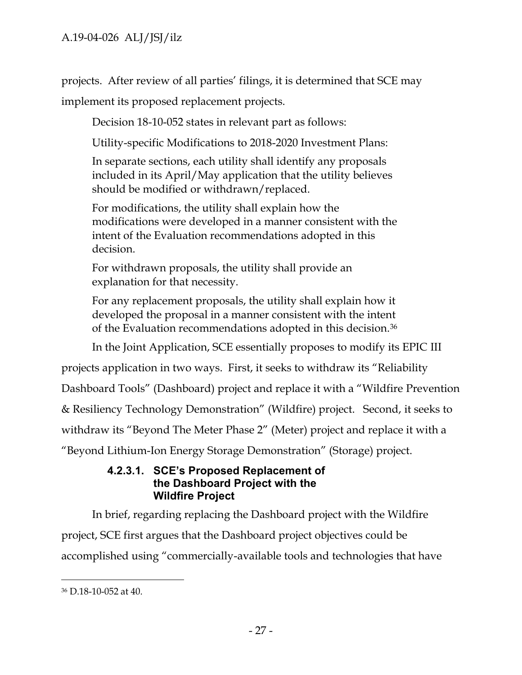projects. After review of all parties' filings, it is determined that SCE may implement its proposed replacement projects.

Decision 18-10-052 states in relevant part as follows:

Utility-specific Modifications to 2018-2020 Investment Plans:

In separate sections, each utility shall identify any proposals included in its April/May application that the utility believes should be modified or withdrawn/replaced.

For modifications, the utility shall explain how the modifications were developed in a manner consistent with the intent of the Evaluation recommendations adopted in this decision.

For withdrawn proposals, the utility shall provide an explanation for that necessity.

For any replacement proposals, the utility shall explain how it developed the proposal in a manner consistent with the intent of the Evaluation recommendations adopted in this decision.<sup>36</sup>

In the Joint Application, SCE essentially proposes to modify its EPIC III

projects application in two ways. First, it seeks to withdraw its "Reliability

Dashboard Tools" (Dashboard) project and replace it with a "Wildfire Prevention

& Resiliency Technology Demonstration" (Wildfire) project. Second, it seeks to

withdraw its "Beyond The Meter Phase 2" (Meter) project and replace it with a

<span id="page-27-0"></span>"Beyond Lithium-Ion Energy Storage Demonstration" (Storage) project.

### **4.2.3.1. SCE's Proposed Replacement of the Dashboard Project with the Wildfire Project**

In brief, regarding replacing the Dashboard project with the Wildfire project, SCE first argues that the Dashboard project objectives could be accomplished using "commercially-available tools and technologies that have

<sup>36</sup> D.18-10-052 at 40.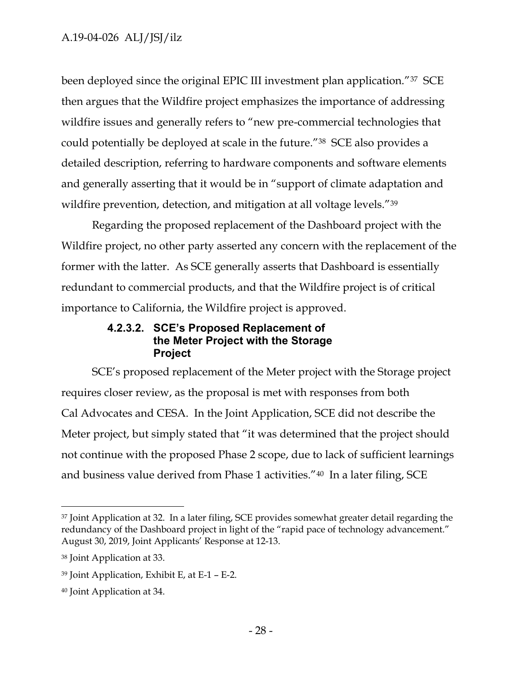been deployed since the original EPIC III investment plan application."37 SCE then argues that the Wildfire project emphasizes the importance of addressing wildfire issues and generally refers to "new pre-commercial technologies that could potentially be deployed at scale in the future."38 SCE also provides a detailed description, referring to hardware components and software elements and generally asserting that it would be in "support of climate adaptation and wildfire prevention, detection, and mitigation at all voltage levels."<sup>39</sup>

Regarding the proposed replacement of the Dashboard project with the Wildfire project, no other party asserted any concern with the replacement of the former with the latter. As SCE generally asserts that Dashboard is essentially redundant to commercial products, and that the Wildfire project is of critical importance to California, the Wildfire project is approved.

### **4.2.3.2. SCE's Proposed Replacement of the Meter Project with the Storage Project**

<span id="page-28-0"></span>SCE's proposed replacement of the Meter project with the Storage project requires closer review, as the proposal is met with responses from both Cal Advocates and CESA. In the Joint Application, SCE did not describe the Meter project, but simply stated that "it was determined that the project should not continue with the proposed Phase 2 scope, due to lack of sufficient learnings and business value derived from Phase 1 activities."40 In a later filing, SCE

<sup>&</sup>lt;sup>37</sup> Joint Application at 32. In a later filing, SCE provides somewhat greater detail regarding the redundancy of the Dashboard project in light of the "rapid pace of technology advancement." August 30, 2019, Joint Applicants' Response at 12-13.

<sup>38</sup> Joint Application at 33.

<sup>39</sup> Joint Application, Exhibit E, at E-1 – E-2.

<sup>40</sup> Joint Application at 34.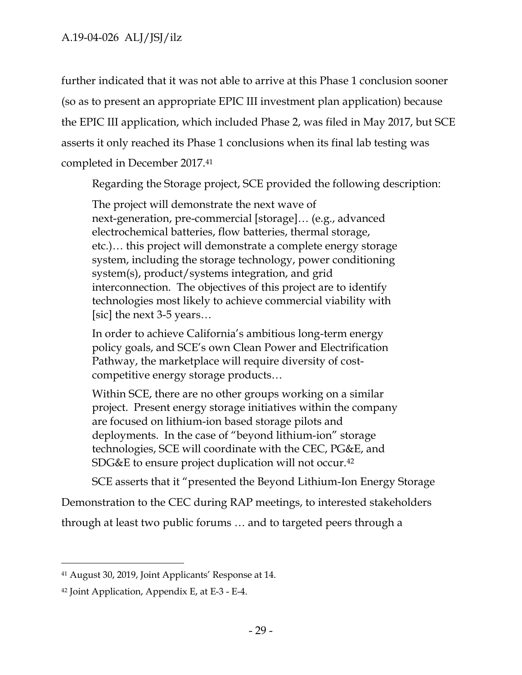further indicated that it was not able to arrive at this Phase 1 conclusion sooner (so as to present an appropriate EPIC III investment plan application) because the EPIC III application, which included Phase 2, was filed in May 2017, but SCE asserts it only reached its Phase 1 conclusions when its final lab testing was completed in December 2017.<sup>41</sup>

Regarding the Storage project, SCE provided the following description:

The project will demonstrate the next wave of next-generation, pre-commercial [storage]… (e.g., advanced electrochemical batteries, flow batteries, thermal storage, etc.)… this project will demonstrate a complete energy storage system, including the storage technology, power conditioning system(s), product/systems integration, and grid interconnection. The objectives of this project are to identify technologies most likely to achieve commercial viability with [sic] the next 3-5 years…

In order to achieve California's ambitious long-term energy policy goals, and SCE's own Clean Power and Electrification Pathway, the marketplace will require diversity of costcompetitive energy storage products…

Within SCE, there are no other groups working on a similar project. Present energy storage initiatives within the company are focused on lithium-ion based storage pilots and deployments. In the case of "beyond lithium-ion" storage technologies, SCE will coordinate with the CEC, PG&E, and SDG&E to ensure project duplication will not occur.<sup>42</sup>

SCE asserts that it "presented the Beyond Lithium-Ion Energy Storage

Demonstration to the CEC during RAP meetings, to interested stakeholders

through at least two public forums … and to targeted peers through a

<sup>41</sup> August 30, 2019, Joint Applicants' Response at 14.

<sup>42</sup> Joint Application, Appendix E, at E-3 - E-4.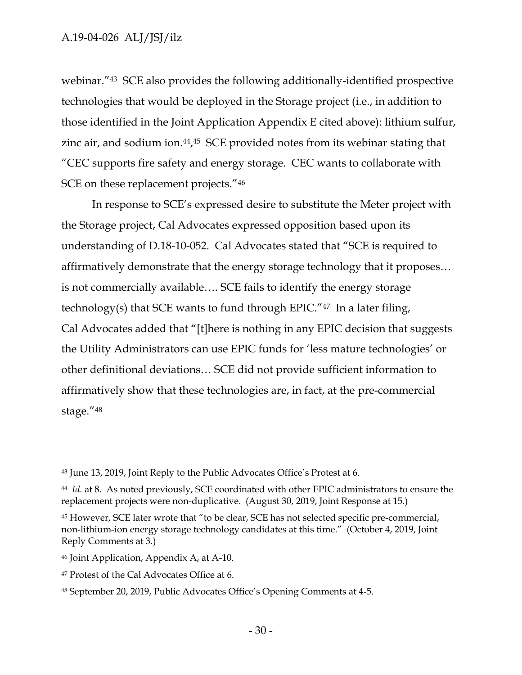### A.19-04-026 ALJ/JSJ/ilz

webinar."<sup>43</sup> SCE also provides the following additionally-identified prospective technologies that would be deployed in the Storage project (i.e., in addition to those identified in the Joint Application Appendix E cited above): lithium sulfur, zinc air, and sodium ion.<sup>44,45</sup> SCE provided notes from its webinar stating that "CEC supports fire safety and energy storage. CEC wants to collaborate with SCE on these replacement projects."<sup>46</sup>

In response to SCE's expressed desire to substitute the Meter project with the Storage project, Cal Advocates expressed opposition based upon its understanding of D.18-10-052. Cal Advocates stated that "SCE is required to affirmatively demonstrate that the energy storage technology that it proposes… is not commercially available…. SCE fails to identify the energy storage technology(s) that SCE wants to fund through EPIC."47 In a later filing, Cal Advocates added that "[t]here is nothing in any EPIC decision that suggests the Utility Administrators can use EPIC funds for 'less mature technologies' or other definitional deviations… SCE did not provide sufficient information to affirmatively show that these technologies are, in fact, at the pre-commercial stage."<sup>48</sup>

<sup>43</sup> June 13, 2019, Joint Reply to the Public Advocates Office's Protest at 6.

<sup>44</sup> *Id.* at 8. As noted previously, SCE coordinated with other EPIC administrators to ensure the replacement projects were non-duplicative. (August 30, 2019, Joint Response at 15.)

<sup>45</sup> However, SCE later wrote that "to be clear, SCE has not selected specific pre-commercial, non-lithium-ion energy storage technology candidates at this time." (October 4, 2019, Joint Reply Comments at 3.)

<sup>46</sup> Joint Application, Appendix A, at A-10.

<sup>47</sup> Protest of the Cal Advocates Office at 6.

<sup>48</sup> September 20, 2019, Public Advocates Office's Opening Comments at 4-5.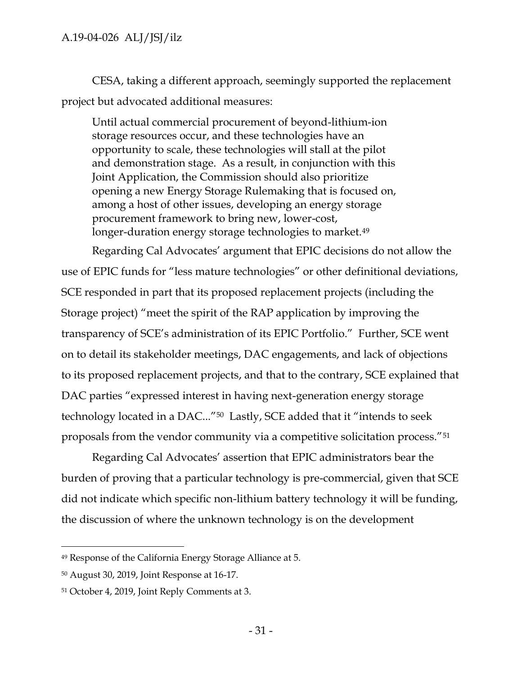CESA, taking a different approach, seemingly supported the replacement project but advocated additional measures:

Until actual commercial procurement of beyond-lithium-ion storage resources occur, and these technologies have an opportunity to scale, these technologies will stall at the pilot and demonstration stage. As a result, in conjunction with this Joint Application, the Commission should also prioritize opening a new Energy Storage Rulemaking that is focused on, among a host of other issues, developing an energy storage procurement framework to bring new, lower-cost, longer-duration energy storage technologies to market.<sup>49</sup>

Regarding Cal Advocates' argument that EPIC decisions do not allow the use of EPIC funds for "less mature technologies" or other definitional deviations, SCE responded in part that its proposed replacement projects (including the Storage project) "meet the spirit of the RAP application by improving the transparency of SCE's administration of its EPIC Portfolio." Further, SCE went on to detail its stakeholder meetings, DAC engagements, and lack of objections to its proposed replacement projects, and that to the contrary, SCE explained that DAC parties "expressed interest in having next-generation energy storage technology located in a DAC..."<sup>50</sup> Lastly, SCE added that it "intends to seek proposals from the vendor community via a competitive solicitation process."<sup>51</sup>

Regarding Cal Advocates' assertion that EPIC administrators bear the burden of proving that a particular technology is pre-commercial, given that SCE did not indicate which specific non-lithium battery technology it will be funding, the discussion of where the unknown technology is on the development

<sup>49</sup> Response of the California Energy Storage Alliance at 5.

<sup>50</sup> August 30, 2019, Joint Response at 16-17.

<sup>51</sup> October 4, 2019, Joint Reply Comments at 3.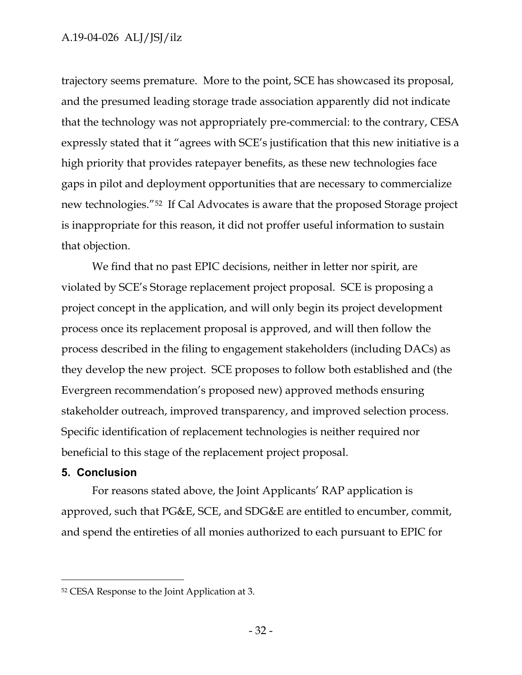### A.19-04-026 ALJ/JSJ/ilz

trajectory seems premature. More to the point, SCE has showcased its proposal, and the presumed leading storage trade association apparently did not indicate that the technology was not appropriately pre-commercial: to the contrary, CESA expressly stated that it "agrees with SCE's justification that this new initiative is a high priority that provides ratepayer benefits, as these new technologies face gaps in pilot and deployment opportunities that are necessary to commercialize new technologies."<sup>52</sup> If Cal Advocates is aware that the proposed Storage project is inappropriate for this reason, it did not proffer useful information to sustain that objection.

We find that no past EPIC decisions, neither in letter nor spirit, are violated by SCE's Storage replacement project proposal. SCE is proposing a project concept in the application, and will only begin its project development process once its replacement proposal is approved, and will then follow the process described in the filing to engagement stakeholders (including DACs) as they develop the new project. SCE proposes to follow both established and (the Evergreen recommendation's proposed new) approved methods ensuring stakeholder outreach, improved transparency, and improved selection process. Specific identification of replacement technologies is neither required nor beneficial to this stage of the replacement project proposal.

#### <span id="page-32-0"></span>**5. Conclusion**

 $\overline{a}$ 

For reasons stated above, the Joint Applicants' RAP application is approved, such that PG&E, SCE, and SDG&E are entitled to encumber, commit, and spend the entireties of all monies authorized to each pursuant to EPIC for

<sup>52</sup> CESA Response to the Joint Application at 3.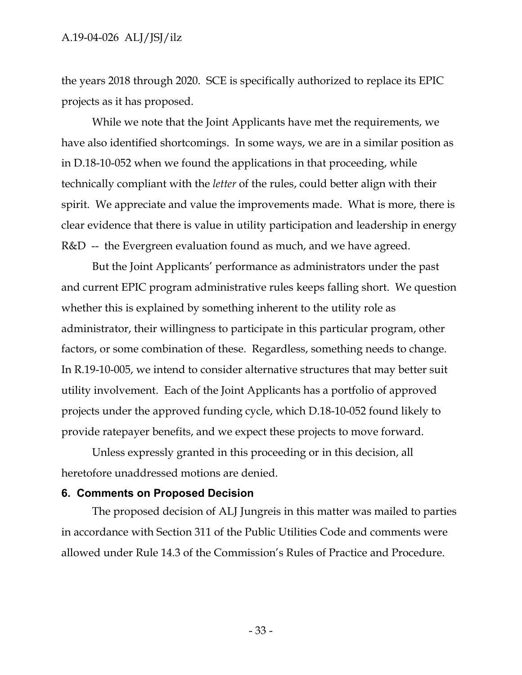the years 2018 through 2020. SCE is specifically authorized to replace its EPIC projects as it has proposed.

While we note that the Joint Applicants have met the requirements, we have also identified shortcomings. In some ways, we are in a similar position as in D.18-10-052 when we found the applications in that proceeding, while technically compliant with the *letter* of the rules, could better align with their spirit. We appreciate and value the improvements made. What is more, there is clear evidence that there is value in utility participation and leadership in energy R&D -- the Evergreen evaluation found as much, and we have agreed.

But the Joint Applicants' performance as administrators under the past and current EPIC program administrative rules keeps falling short. We question whether this is explained by something inherent to the utility role as administrator, their willingness to participate in this particular program, other factors, or some combination of these. Regardless, something needs to change. In R.19-10-005, we intend to consider alternative structures that may better suit utility involvement. Each of the Joint Applicants has a portfolio of approved projects under the approved funding cycle, which D.18-10-052 found likely to provide ratepayer benefits, and we expect these projects to move forward.

Unless expressly granted in this proceeding or in this decision, all heretofore unaddressed motions are denied.

#### <span id="page-33-0"></span>**6. Comments on Proposed Decision**

The proposed decision of ALJ Jungreis in this matter was mailed to parties in accordance with Section 311 of the Public Utilities Code and comments were allowed under Rule 14.3 of the Commission's Rules of Practice and Procedure.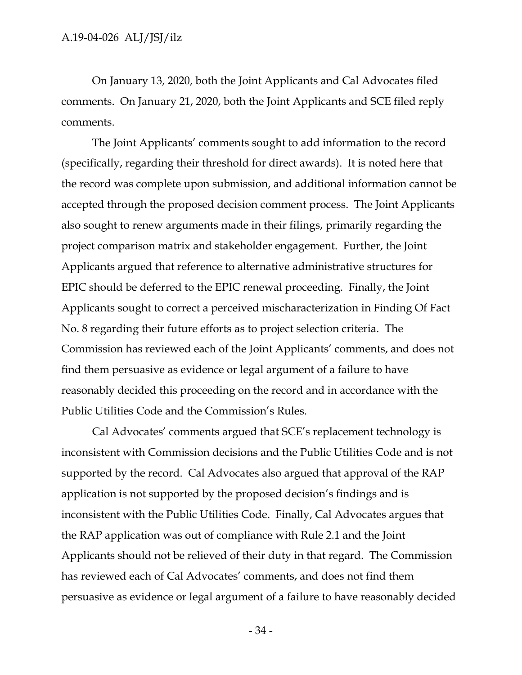On January 13, 2020, both the Joint Applicants and Cal Advocates filed comments. On January 21, 2020, both the Joint Applicants and SCE filed reply comments.

The Joint Applicants' comments sought to add information to the record (specifically, regarding their threshold for direct awards). It is noted here that the record was complete upon submission, and additional information cannot be accepted through the proposed decision comment process. The Joint Applicants also sought to renew arguments made in their filings, primarily regarding the project comparison matrix and stakeholder engagement. Further, the Joint Applicants argued that reference to alternative administrative structures for EPIC should be deferred to the EPIC renewal proceeding. Finally, the Joint Applicants sought to correct a perceived mischaracterization in Finding Of Fact No. 8 regarding their future efforts as to project selection criteria. The Commission has reviewed each of the Joint Applicants' comments, and does not find them persuasive as evidence or legal argument of a failure to have reasonably decided this proceeding on the record and in accordance with the Public Utilities Code and the Commission's Rules.

Cal Advocates' comments argued that SCE's replacement technology is inconsistent with Commission decisions and the Public Utilities Code and is not supported by the record. Cal Advocates also argued that approval of the RAP application is not supported by the proposed decision's findings and is inconsistent with the Public Utilities Code. Finally, Cal Advocates argues that the RAP application was out of compliance with Rule 2.1 and the Joint Applicants should not be relieved of their duty in that regard. The Commission has reviewed each of Cal Advocates' comments, and does not find them persuasive as evidence or legal argument of a failure to have reasonably decided

- 34 -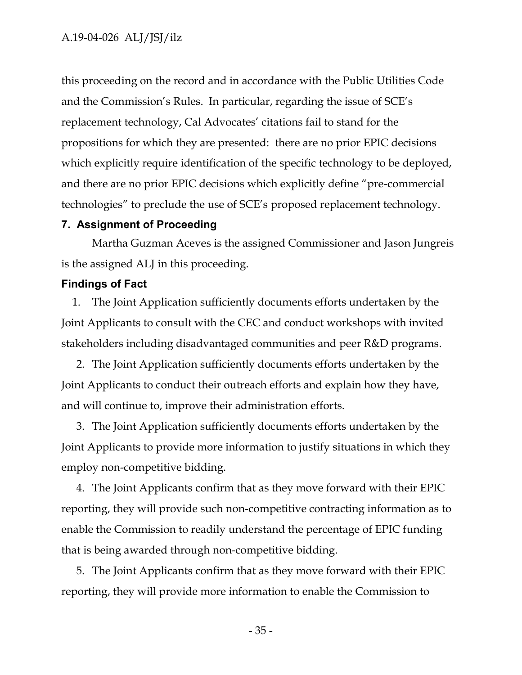this proceeding on the record and in accordance with the Public Utilities Code and the Commission's Rules. In particular, regarding the issue of SCE's replacement technology, Cal Advocates' citations fail to stand for the propositions for which they are presented: there are no prior EPIC decisions which explicitly require identification of the specific technology to be deployed, and there are no prior EPIC decisions which explicitly define "pre-commercial technologies" to preclude the use of SCE's proposed replacement technology.

#### <span id="page-35-0"></span>**7. Assignment of Proceeding**

Martha Guzman Aceves is the assigned Commissioner and Jason Jungreis is the assigned ALJ in this proceeding.

#### <span id="page-35-1"></span>**Findings of Fact**

1. The Joint Application sufficiently documents efforts undertaken by the Joint Applicants to consult with the CEC and conduct workshops with invited stakeholders including disadvantaged communities and peer R&D programs.

2. The Joint Application sufficiently documents efforts undertaken by the Joint Applicants to conduct their outreach efforts and explain how they have, and will continue to, improve their administration efforts.

3. The Joint Application sufficiently documents efforts undertaken by the Joint Applicants to provide more information to justify situations in which they employ non-competitive bidding.

4. The Joint Applicants confirm that as they move forward with their EPIC reporting, they will provide such non-competitive contracting information as to enable the Commission to readily understand the percentage of EPIC funding that is being awarded through non-competitive bidding.

5. The Joint Applicants confirm that as they move forward with their EPIC reporting, they will provide more information to enable the Commission to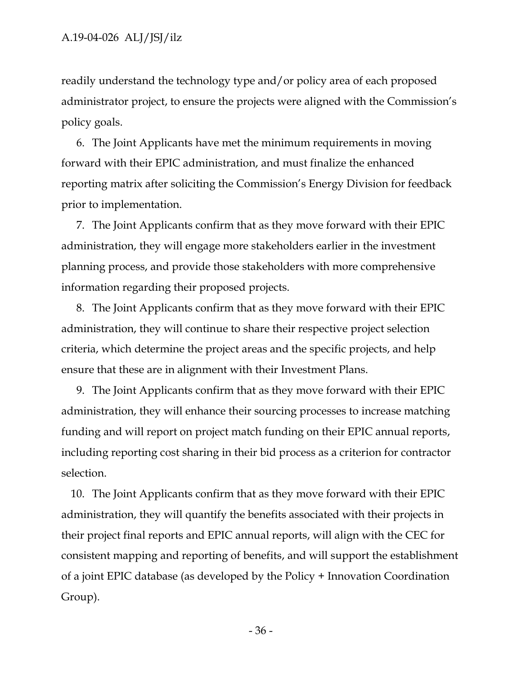readily understand the technology type and/or policy area of each proposed administrator project, to ensure the projects were aligned with the Commission's policy goals.

6. The Joint Applicants have met the minimum requirements in moving forward with their EPIC administration, and must finalize the enhanced reporting matrix after soliciting the Commission's Energy Division for feedback prior to implementation.

7. The Joint Applicants confirm that as they move forward with their EPIC administration, they will engage more stakeholders earlier in the investment planning process, and provide those stakeholders with more comprehensive information regarding their proposed projects.

8. The Joint Applicants confirm that as they move forward with their EPIC administration, they will continue to share their respective project selection criteria, which determine the project areas and the specific projects, and help ensure that these are in alignment with their Investment Plans.

9. The Joint Applicants confirm that as they move forward with their EPIC administration, they will enhance their sourcing processes to increase matching funding and will report on project match funding on their EPIC annual reports, including reporting cost sharing in their bid process as a criterion for contractor selection.

10. The Joint Applicants confirm that as they move forward with their EPIC administration, they will quantify the benefits associated with their projects in their project final reports and EPIC annual reports, will align with the CEC for consistent mapping and reporting of benefits, and will support the establishment of a joint EPIC database (as developed by the Policy + Innovation Coordination Group).

- 36 -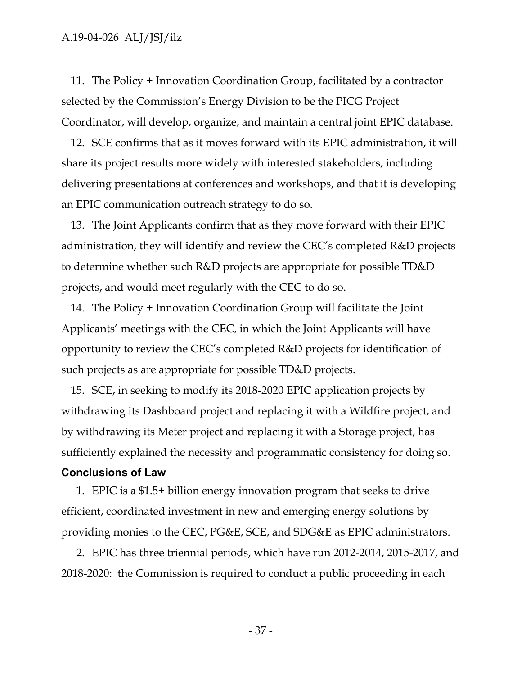11. The Policy + Innovation Coordination Group, facilitated by a contractor selected by the Commission's Energy Division to be the PICG Project Coordinator, will develop, organize, and maintain a central joint EPIC database.

12. SCE confirms that as it moves forward with its EPIC administration, it will share its project results more widely with interested stakeholders, including delivering presentations at conferences and workshops, and that it is developing an EPIC communication outreach strategy to do so.

13. The Joint Applicants confirm that as they move forward with their EPIC administration, they will identify and review the CEC's completed R&D projects to determine whether such R&D projects are appropriate for possible TD&D projects, and would meet regularly with the CEC to do so.

14. The Policy + Innovation Coordination Group will facilitate the Joint Applicants' meetings with the CEC, in which the Joint Applicants will have opportunity to review the CEC's completed R&D projects for identification of such projects as are appropriate for possible TD&D projects.

15. SCE, in seeking to modify its 2018-2020 EPIC application projects by withdrawing its Dashboard project and replacing it with a Wildfire project, and by withdrawing its Meter project and replacing it with a Storage project, has sufficiently explained the necessity and programmatic consistency for doing so.

#### <span id="page-37-0"></span>**Conclusions of Law**

1. EPIC is a \$1.5+ billion energy innovation program that seeks to drive efficient, coordinated investment in new and emerging energy solutions by providing monies to the CEC, PG&E, SCE, and SDG&E as EPIC administrators.

2. EPIC has three triennial periods, which have run 2012-2014, 2015-2017, and 2018-2020: the Commission is required to conduct a public proceeding in each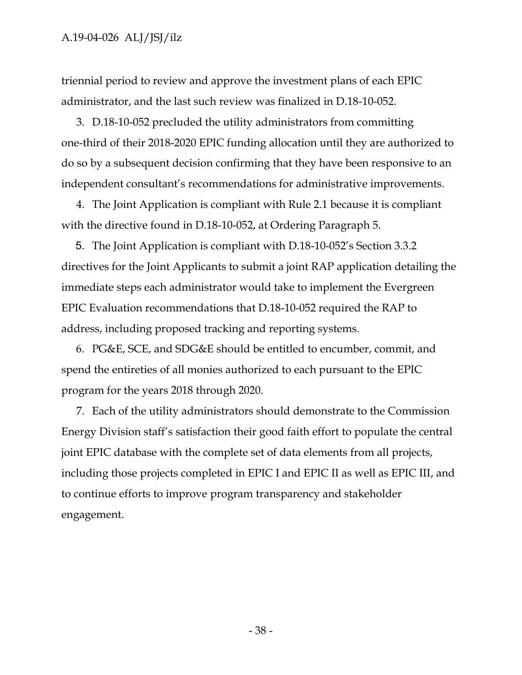triennial period to review and approve the investment plans of each EPIC administrator, and the last such review was finalized in D.18-10-052.

3. D.18-10-052 precluded the utility administrators from committing one-third of their 2018-2020 EPIC funding allocation until they are authorized to do so by a subsequent decision confirming that they have been responsive to an independent consultant's recommendations for administrative improvements.

4. The Joint Application is compliant with Rule 2.1 because it is compliant with the directive found in D.18-10-052, at Ordering Paragraph 5.

5. The Joint Application is compliant with D.18-10-052's Section 3.3.2 directives for the Joint Applicants to submit a joint RAP application detailing the immediate steps each administrator would take to implement the Evergreen EPIC Evaluation recommendations that D.18-10-052 required the RAP to address, including proposed tracking and reporting systems.

6. PG&E, SCE, and SDG&E should be entitled to encumber, commit, and spend the entireties of all monies authorized to each pursuant to the EPIC program for the years 2018 through 2020.

7. Each of the utility administrators should demonstrate to the Commission Energy Division staff's satisfaction their good faith effort to populate the central joint EPIC database with the complete set of data elements from all projects, including those projects completed in EPIC I and EPIC II as well as EPIC III, and to continue efforts to improve program transparency and stakeholder engagement.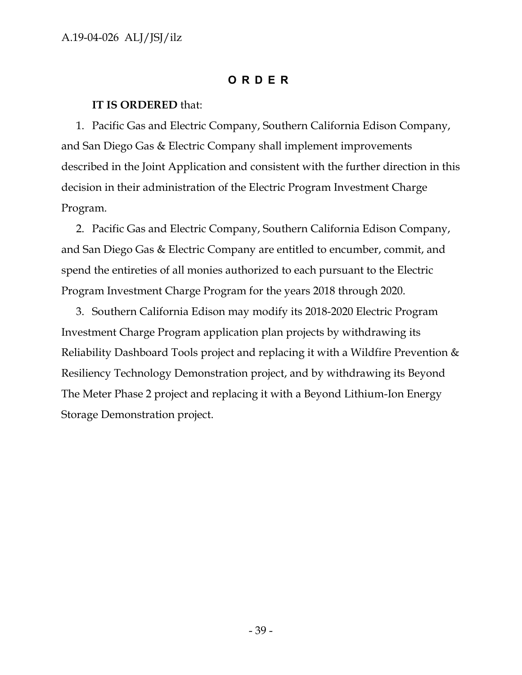### **O RDER**

### <span id="page-39-0"></span>**IT IS ORDERED** that:

1. Pacific Gas and Electric Company, Southern California Edison Company, and San Diego Gas & Electric Company shall implement improvements described in the Joint Application and consistent with the further direction in this decision in their administration of the Electric Program Investment Charge Program.

2. Pacific Gas and Electric Company, Southern California Edison Company, and San Diego Gas & Electric Company are entitled to encumber, commit, and spend the entireties of all monies authorized to each pursuant to the Electric Program Investment Charge Program for the years 2018 through 2020.

3. Southern California Edison may modify its 2018-2020 Electric Program Investment Charge Program application plan projects by withdrawing its Reliability Dashboard Tools project and replacing it with a Wildfire Prevention & Resiliency Technology Demonstration project, and by withdrawing its Beyond The Meter Phase 2 project and replacing it with a Beyond Lithium-Ion Energy Storage Demonstration project.